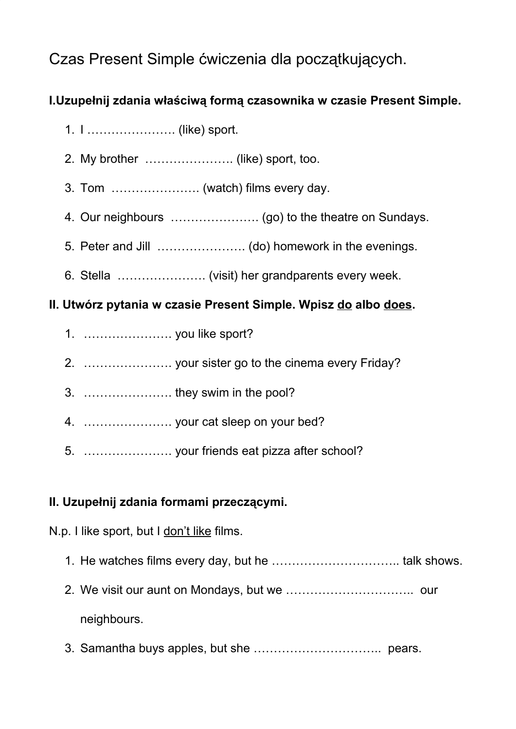# Czas Present Simple ćwiczenia dla początkujących.

## **I.Uzupełnij zdania właściwą formą czasownika w czasie Present Simple.**

- 1. I …………………. (like) sport.
- 2. My brother …………………. (like) sport, too.
- 3. Tom …………………. (watch) films every day.
- 4. Our neighbours …………………. (go) to the theatre on Sundays.
- 5. Peter and Jill …………………. (do) homework in the evenings.
- 6. Stella …………………. (visit) her grandparents every week.

### **II. Utwórz pytania w czasie Present Simple. Wpisz do albo does.**

- 1. …………………. you like sport?
- 2. …………………. your sister go to the cinema every Friday?
- 3. …………………. they swim in the pool?
- 4. …………………. your cat sleep on your bed?
- 5. …………………. your friends eat pizza after school?

### **II. Uzupełnij zdania formami przeczącymi.**

#### N.p. I like sport, but I don't like films.

- 1. He watches films every day, but he ………………………….. talk shows.
- 2. We visit our aunt on Mondays, but we ………………………….. our neighbours.
- 3. Samantha buys apples, but she ………………………….. pears.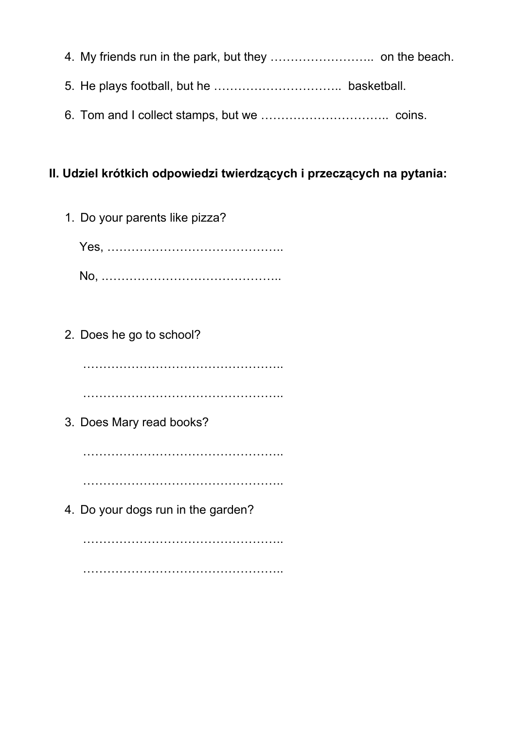- 4. My friends run in the park, but they …………………….. on the beach.
- 5. He plays football, but he ………………………….. basketball.
- 6. Tom and I collect stamps, but we ………………………….. coins.

#### **II. Udziel krótkich odpowiedzi twierdzących i przeczących na pytania:**

1. Do your parents like pizza?

Yes, …………………………………….. No, .……………………………………..

2. Does he go to school?

…………………………………………..

…………………………………………..

3. Does Mary read books?

…………………………………………..

…………………………………………..

4. Do your dogs run in the garden?

………………………………………….. …………………………………………..